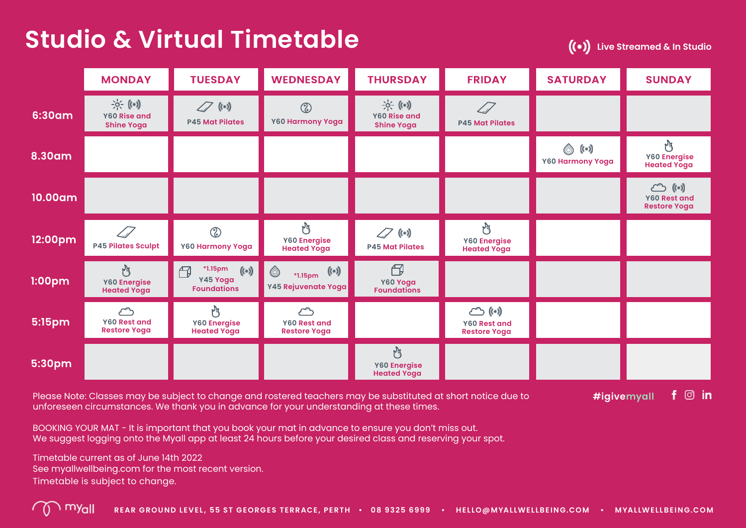## **Studio & Virtual Timetable**

**Live Streamed & In Studio**

|         | <b>MONDAY</b>                                             | <b>TUESDAY</b>                                                                      | <b>WEDNESDAY</b>                                           | <b>THURSDAY</b>                                        | <b>FRIDAY</b>                                                          | <b>SATURDAY</b>           | <b>SUNDAY</b>                                                           |
|---------|-----------------------------------------------------------|-------------------------------------------------------------------------------------|------------------------------------------------------------|--------------------------------------------------------|------------------------------------------------------------------------|---------------------------|-------------------------------------------------------------------------|
| 6:30am  | $\Rightarrow ( (-))$<br>Y60 Rise and<br><b>Shine Yoga</b> | $\mathscr{D}$ (e)<br><b>P45 Mat Pilates</b>                                         | $^{\circledR}$<br>Y60 Harmony Yoga                         | $\Rightarrow ( ($<br>Y60 Rise and<br><b>Shine Yoga</b> | $\mathcal{L}$<br><b>P45 Mat Pilates</b>                                |                           |                                                                         |
| 8.30am  |                                                           |                                                                                     |                                                            |                                                        |                                                                        | ◎ (…)<br>Y60 Harmony Yoga | M<br>Y60 Energise<br><b>Heated Yoga</b>                                 |
| 10.00am |                                                           |                                                                                     |                                                            |                                                        |                                                                        |                           | $\circlearrowright$<br>$(\cdot)$<br>Y60 Rest and<br><b>Restore Yoga</b> |
| 12:00pm | $\varpi$<br><b>P45 Pilates Sculpt</b>                     | $\circledcirc$<br>Y60 Harmony Yoga                                                  | M<br>Y60 Energise<br><b>Heated Yoga</b>                    | $\mathscr{D}$ (e)<br><b>P45 Mat Pilates</b>            | M<br>Y60 Energise<br><b>Heated Yoga</b>                                |                           |                                                                         |
| 1:00pm  | M<br>Y60 Energise<br><b>Heated Yoga</b>                   | <b>*1.15pm</b><br>$($ ( $\cdot$ ))<br>$\bigoplus$<br>Y45 Yoga<br><b>Foundations</b> | $(\cdot)$<br>*1.15pm<br>Y45 Rejuvenate Yoga                | 円<br>Y60 Yoga<br><b>Foundations</b>                    |                                                                        |                           |                                                                         |
| 5:15pm  | لمساكم<br>Y60 Rest and<br><b>Restore Yoga</b>             | M<br><b>Y60 Energise</b><br><b>Heated Yoga</b>                                      | $\circlearrowright$<br>Y60 Rest and<br><b>Restore Yoga</b> |                                                        | $\circlearrowright$ ( $\circ$ )<br>Y60 Rest and<br><b>Restore Yoga</b> |                           |                                                                         |
| 5:30pm  |                                                           |                                                                                     |                                                            | N<br>Y60 Energise<br><b>Heated Yoga</b>                |                                                                        |                           |                                                                         |

Please Note: Classes may be subject to change and rostered teachers may be substituted at short notice due to unforeseen circumstances. We thank you in advance for your understanding at these times.

 $f$   $\odot$  in **#igivemyall**

BOOKING YOUR MAT - It is important that you book your mat in advance to ensure you don't miss out. We suggest logging onto the Myall app at least 24 hours before your desired class and reserving your spot.

Timetable current as of June 14th 2022 See myallwellbeing.com for the most recent version. Timetable is subject to change.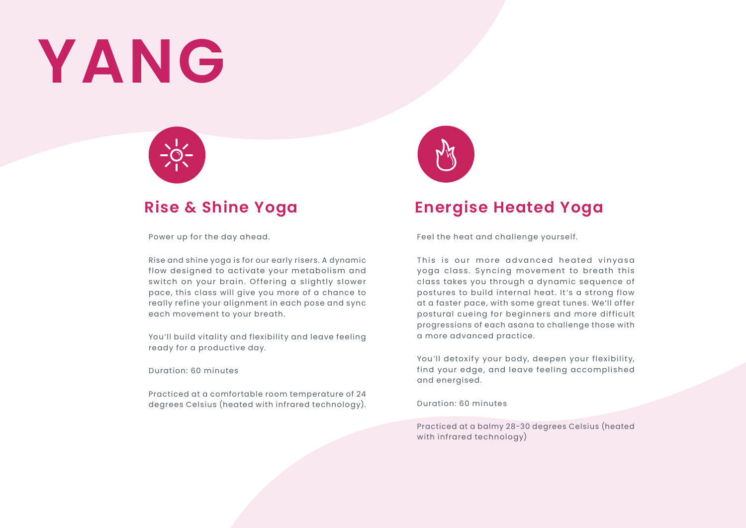## **YANG**



Power up for the day ahead.

Rise and shine yoga is for our early risers. A dynamic flow designed to activate your metabolism and switch on your brain. Offering a slightly slower pace, this class will give you more of a chance to really refine your alignment in each pose and sync each movement to your breath.

You'll build vitality and flexibility and leave feeling ready for a productive day.

Duration: 60 minutes

Practiced at a comfortable room temperature of 24 degrees Celsius (heated with infrared technology).



### **Rise & Shine Yoga Energise Heated Yoga**

Feel the heat and challenge yourself.

This is our more advanced heated vinvasa yoga class. Syncing movement to breath this class takes you through a dynamic sequence of postures to build internal heat. It's a strong flow at a faster pace, with some great tunes. We'll offer postural cueing for beginners and more difficult progressions of each asana to challenge those with a more advanced practice.

You'll detoxify your body, deepen your flexibility, find your edge, and leave feeling accomplished and energised.

Duration: 60 minutes

Practiced at a balmy 28-30 degrees Celsius (heated with infrared technology)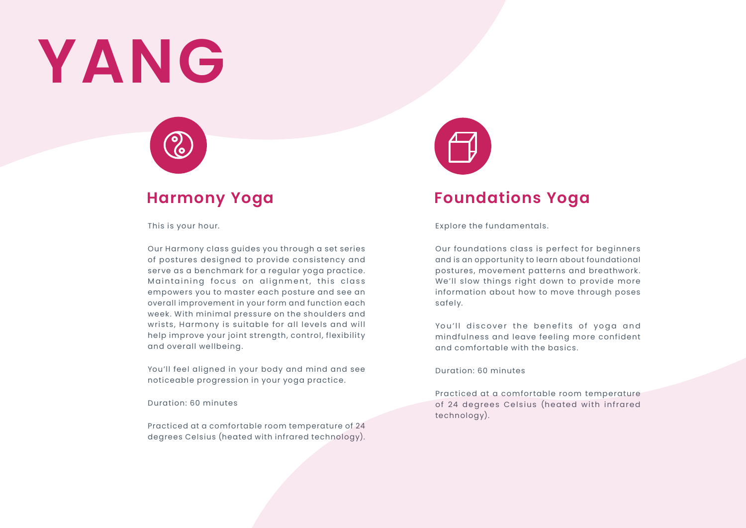## **YANG**



This is your hour.

Our Harmony class guides you through a set series of postures designed to provide consistency and serve as a benchmark for a regular yoga practice. Maintaining focus on alignment, this class empowers you to master each posture and see an overall improvement in your form and function each week. With minimal pressure on the shoulders and wrists, Harmony is suitable for all levels and will help improve your joint strength, control, flexibility and overall wellbeing.

You'll feel aligned in your body and mind and see noticeable progression in your yoga practice.

Duration: 60 minutes

Practiced at a comfortable room temperature of 24 degrees Celsius (heated with infrared technology).



### **Harmony Yoga Foundations Yoga**

Explore the fundamentals.

Our foundations class is perfect for beginners and is an opportunity to learn about foundational postures, movement patterns and breathwork. We'll slow things right down to provide more information about how to move through poses safely.

You'll discover the benefits of yoga and mindfulness and leave feeling more confident and comfortable with the basics.

#### Duration: 60 minutes

Practiced at a comfortable room temperature of 24 degrees Celsius (heated with infrared technology).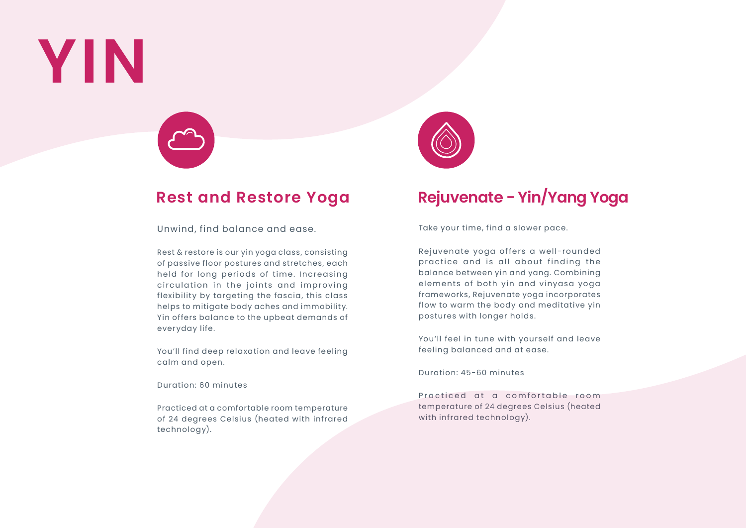## **YIN**



### **Rest and Restore Yoga Rejuvenate - Yin/Yang Yoga**

Unwind, find balance and ease.

Rest & restore is our yin yoga class, consisting of passive floor postures and stretches, each held for long periods of time. Increasing circulation in the joints and improving flexibility by targeting the fascia, this class helps to mitigate body aches and immobility. Yin offers balance to the upbeat demands of everyday life.

You'll find deep relaxation and leave feeling calm and open.

Duration: 60 minutes

Practiced at a comfortable room temperature of 24 degrees Celsius (heated with infrared technology).



Take your time, find a slower pace.

Rejuvenate yoga offers a well-rounded practice and is all about finding the balance between yin and yang. Combining elements of both yin and vinyasa yoga frameworks, Rejuvenate yoga incorporates flow to warm the body and meditative yin postures with longer holds.

You'll feel in tune with yourself and leave feeling balanced and at ease.

Duration: 45-60 minutes

Practiced at a comfortable room temperature of 24 degrees Celsius (heated with infrared technology).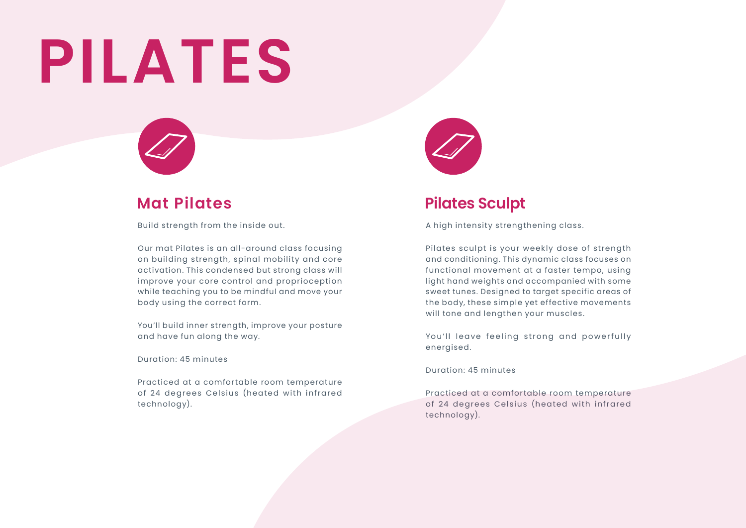## **PILATES**



Build strength from the inside out.

Our mat Pilates is an all-around class focusing on building strength, spinal mobility and core activation. This condensed but strong class will improve your core control and proprioception while teaching you to be mindful and move your body using the correct form.

You'll build inner strength, improve your posture and have fun along the way.

Duration: 45 minutes

Practiced at a comfortable room temperature of 24 degrees Celsius (heated with infrared technology).



### **Mat Pilates Pilates Sculpt**

A high intensity strengthening class.

Pilates sculpt is your weekly dose of strength and conditioning. This dynamic class focuses on functional movement at a faster tempo, using light hand weights and accompanied with some sweet tunes. Designed to target specific areas of the body, these simple yet effective movements will tone and lengthen your muscles.

You'll leave feeling strong and powerfully energised.

Duration: 45 minutes

Practiced at a comfortable room temperature of 24 degrees Celsius (heated with infrared technology).